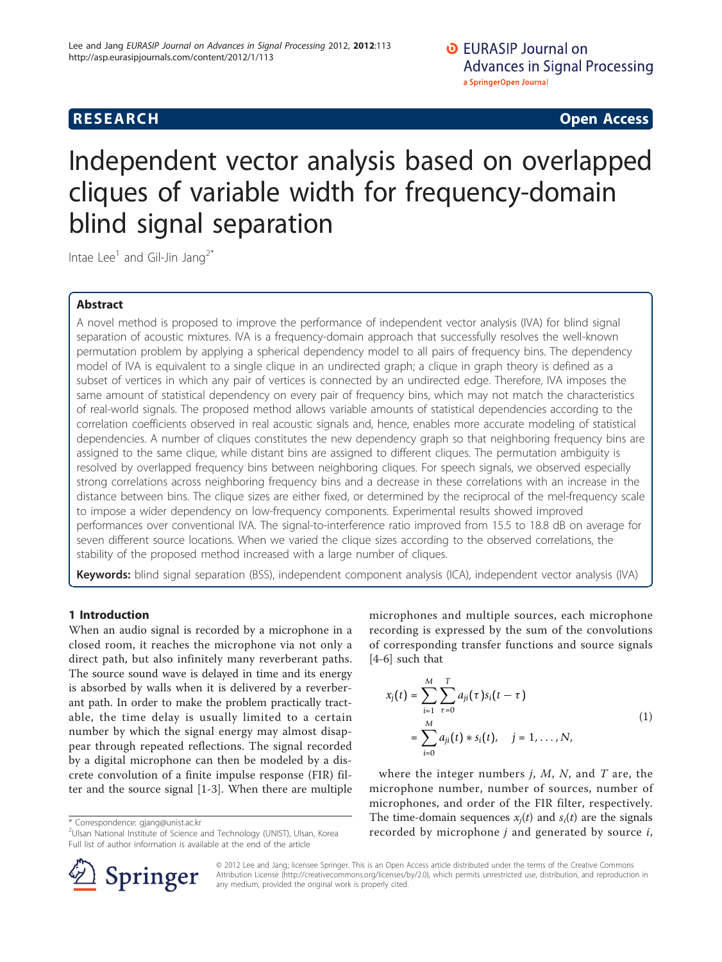**RESEARCH CONSTRUCTION CONSTRUCTS** 

# Independent vector analysis based on overlapped cliques of variable width for frequency-domain blind signal separation

Intae Lee<sup>1</sup> and Gil-Jin Jang<sup>2\*</sup>

# Abstract

A novel method is proposed to improve the performance of independent vector analysis (IVA) for blind signal separation of acoustic mixtures. IVA is a frequency-domain approach that successfully resolves the well-known permutation problem by applying a spherical dependency model to all pairs of frequency bins. The dependency model of IVA is equivalent to a single clique in an undirected graph; a clique in graph theory is defined as a subset of vertices in which any pair of vertices is connected by an undirected edge. Therefore, IVA imposes the same amount of statistical dependency on every pair of frequency bins, which may not match the characteristics of real-world signals. The proposed method allows variable amounts of statistical dependencies according to the correlation coefficients observed in real acoustic signals and, hence, enables more accurate modeling of statistical dependencies. A number of cliques constitutes the new dependency graph so that neighboring frequency bins are assigned to the same clique, while distant bins are assigned to different cliques. The permutation ambiguity is resolved by overlapped frequency bins between neighboring cliques. For speech signals, we observed especially strong correlations across neighboring frequency bins and a decrease in these correlations with an increase in the distance between bins. The clique sizes are either fixed, or determined by the reciprocal of the mel-frequency scale to impose a wider dependency on low-frequency components. Experimental results showed improved performances over conventional IVA. The signal-to-interference ratio improved from 15.5 to 18.8 dB on average for seven different source locations. When we varied the clique sizes according to the observed correlations, the stability of the proposed method increased with a large number of cliques.

Keywords: blind signal separation (BSS), independent component analysis (ICA), independent vector analysis (IVA)

# 1 Introduction

When an audio signal is recorded by a microphone in a closed room, it reaches the microphone via not only a direct path, but also infinitely many reverberant paths. The source sound wave is delayed in time and its energy is absorbed by walls when it is delivered by a reverberant path. In order to make the problem practically tractable, the time delay is usually limited to a certain number by which the signal energy may almost disappear through repeated reflections. The signal recorded by a digital microphone can then be modeled by a discrete convolution of a finite impulse response (FIR) filter and the source signal [[1](#page-10-0)[-3](#page-11-0)]. When there are multiple

microphones and multiple sources, each microphone recording is expressed by the sum of the convolutions of corresponding transfer functions and source signals [[4-6](#page-11-0)] such that

$$
x_j(t) = \sum_{i=1}^{M} \sum_{\tau=0}^{T} a_{ji}(\tau) s_i(t-\tau)
$$
  
= 
$$
\sum_{i=0}^{M} a_{ji}(t) * s_i(t), \quad j = 1, ..., N,
$$
 (1)

where the integer numbers  $j$ ,  $M$ ,  $N$ , and  $T$  are, the microphone number, number of sources, number of microphones, and order of the FIR filter, respectively. The time-domain sequences  $x_i(t)$  and  $s_i(t)$  are the signals recordence in the understandence of science and Technology (UNIST), Ulsan, Korea<br> **recorded by microphone j and generated by source i,**  $\frac{2}{\text{Ulsan}}$  National Institute of Science and Technology (UNIST), Ulsan, Korea **re** 



© 2012 Lee and Jang; licensee Springer. This is an Open Access article distributed under the terms of the Creative Commons Attribution License [\(http://creativecommons.org/licenses/by/2.0](http://creativecommons.org/licenses/by/2.0)), which permits unrestricted use, distribution, and reproduction in any medium, provided the original work is properly cited.

<sup>&</sup>lt;sup>2</sup>Ulsan National Institute of Science and Technology (UNIST), Ulsan, Korea Full list of author information is available at the end of the article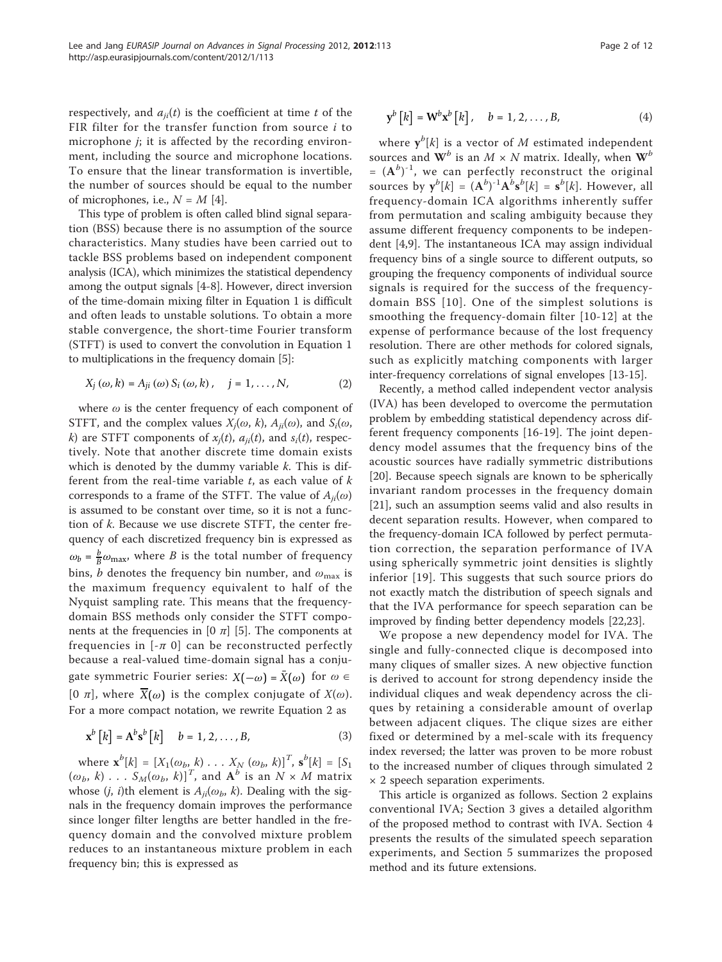respectively, and  $a_{ii}(t)$  is the coefficient at time t of the FIR filter for the transfer function from source i to microphone j; it is affected by the recording environment, including the source and microphone locations. To ensure that the linear transformation is invertible, the number of sources should be equal to the number of microphones, i.e.,  $N = M$  [\[4](#page-11-0)].

This type of problem is often called blind signal separation (BSS) because there is no assumption of the source characteristics. Many studies have been carried out to tackle BSS problems based on independent component analysis (ICA), which minimizes the statistical dependency among the output signals [\[4](#page-11-0)-[8](#page-11-0)]. However, direct inversion of the time-domain mixing filter in Equation 1 is difficult and often leads to unstable solutions. To obtain a more stable convergence, the short-time Fourier transform (STFT) is used to convert the convolution in Equation 1 to multiplications in the frequency domain [[5](#page-11-0)]:

$$
X_j(\omega, k) = A_{ji}(\omega) S_i(\omega, k), \quad j = 1, \dots, N,
$$
 (2)

where  $\omega$  is the center frequency of each component of STFT, and the complex values  $X_i(\omega, k)$ ,  $A_{ii}(\omega)$ , and  $S_i(\omega, k)$ k) are STFT components of  $x_i(t)$ ,  $a_{ii}(t)$ , and  $s_i(t)$ , respectively. Note that another discrete time domain exists which is denoted by the dummy variable  $k$ . This is different from the real-time variable  $t$ , as each value of  $k$ corresponds to a frame of the STFT. The value of  $A_{ii}(\omega)$ is assumed to be constant over time, so it is not a function of k. Because we use discrete STFT, the center frequency of each discretized frequency bin is expressed as  $\omega_b = \frac{b}{B} \omega_{\text{max}}$ , where *B* is the total number of frequency bins, b denotes the frequency bin number, and  $\omega_{\text{max}}$  is the maximum frequency equivalent to half of the Nyquist sampling rate. This means that the frequencydomain BSS methods only consider the STFT components at the frequencies in [0  $\pi$ ] [[5\]](#page-11-0). The components at frequencies in  $[-\pi \ 0]$  can be reconstructed perfectly because a real-valued time-domain signal has a conjugate symmetric Fourier series:  $X(-\omega) = \bar{X}(\omega)$  for  $\omega \in$ [0  $\pi$ ], where  $\overline{X}(\omega)$  is the complex conjugate of  $X(\omega)$ . For a more compact notation, we rewrite Equation 2 as

$$
\mathbf{x}^{b}[k] = \mathbf{A}^{b} \mathbf{s}^{b}[k] \quad b = 1, 2, \dots, B,
$$
 (3)

where  $\mathbf{x}^{b}[k] = [X_{1}(\omega_{b}, k) \dots X_{N} (\omega_{b}, k)]^{T}$ ,  $\mathbf{s}^{b}[k] = [S_{1}$  $(\omega_b, k)$ ...S<sub>M</sub>( $\omega_b, k$ )]<sup>T</sup>, and A<sup>b</sup> is an N × M matrix whose (*j*, *i*)th element is  $A_{ji}(\omega_b, k)$ . Dealing with the signals in the frequency domain improves the performance since longer filter lengths are better handled in the frequency domain and the convolved mixture problem reduces to an instantaneous mixture problem in each frequency bin; this is expressed as

$$
\mathbf{y}^{b}\left[k\right] = \mathbf{W}^{b}\mathbf{x}^{b}\left[k\right], \quad b = 1, 2, \dots, B,
$$
\n<sup>(4)</sup>

where  $\mathbf{y}^b[k]$  is a vector of  $M$  estimated independent sources and  $\mathbf{W}^b$  is an  $M \times N$  matrix. Ideally, when  $\mathbf{W}^b$ =  $(A^b)^{-1}$ , we can perfectly reconstruct the original sources by  $y^b[k] = (A^b)^{-1}A^b s^b[k] = s^b[k]$ . However, all frequency-domain ICA algorithms inherently suffer from permutation and scaling ambiguity because they assume different frequency components to be independent [\[4](#page-11-0),[9\]](#page-11-0). The instantaneous ICA may assign individual frequency bins of a single source to different outputs, so grouping the frequency components of individual source signals is required for the success of the frequencydomain BSS [[10\]](#page-11-0). One of the simplest solutions is smoothing the frequency-domain filter [[10](#page-11-0)-[12](#page-11-0)] at the expense of performance because of the lost frequency resolution. There are other methods for colored signals, such as explicitly matching components with larger inter-frequency correlations of signal envelopes [\[13](#page-11-0)-[15\]](#page-11-0).

Recently, a method called independent vector analysis (IVA) has been developed to overcome the permutation problem by embedding statistical dependency across different frequency components [[16-19](#page-11-0)]. The joint dependency model assumes that the frequency bins of the acoustic sources have radially symmetric distributions [[20\]](#page-11-0). Because speech signals are known to be spherically invariant random processes in the frequency domain [[21\]](#page-11-0), such an assumption seems valid and also results in decent separation results. However, when compared to the frequency-domain ICA followed by perfect permutation correction, the separation performance of IVA using spherically symmetric joint densities is slightly inferior [[19\]](#page-11-0). This suggests that such source priors do not exactly match the distribution of speech signals and that the IVA performance for speech separation can be improved by finding better dependency models [\[22,23\]](#page-11-0).

We propose a new dependency model for IVA. The single and fully-connected clique is decomposed into many cliques of smaller sizes. A new objective function is derived to account for strong dependency inside the individual cliques and weak dependency across the cliques by retaining a considerable amount of overlap between adjacent cliques. The clique sizes are either fixed or determined by a mel-scale with its frequency index reversed; the latter was proven to be more robust to the increased number of cliques through simulated 2 × 2 speech separation experiments.

This article is organized as follows. Section 2 explains conventional IVA; Section 3 gives a detailed algorithm of the proposed method to contrast with IVA. Section 4 presents the results of the simulated speech separation experiments, and Section 5 summarizes the proposed method and its future extensions.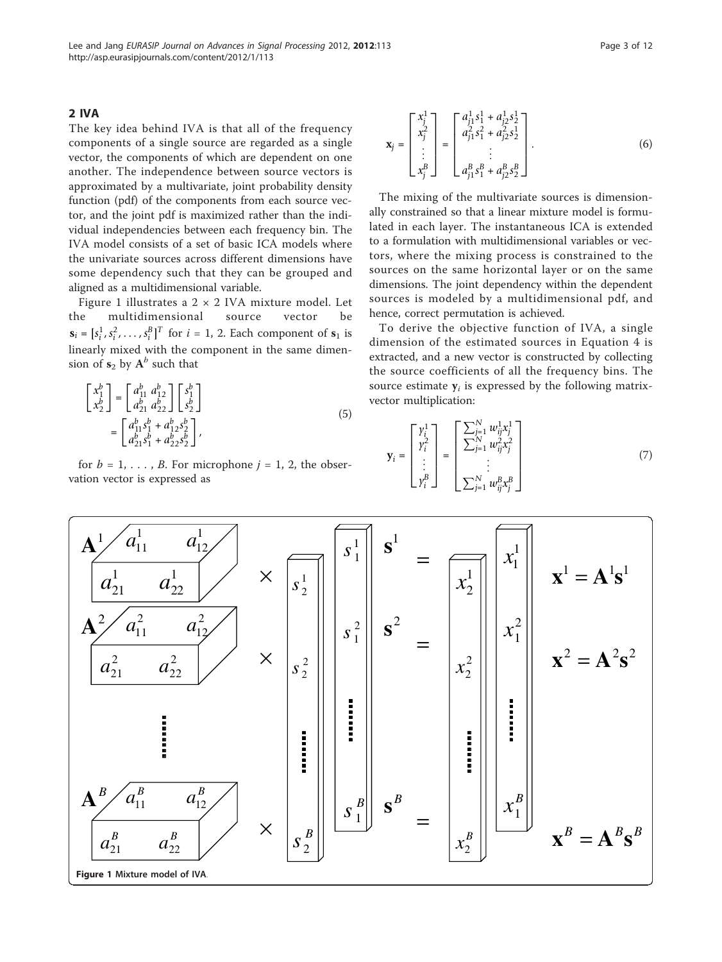# 2 IVA

The key idea behind IVA is that all of the frequency components of a single source are regarded as a single vector, the components of which are dependent on one another. The independence between source vectors is approximated by a multivariate, joint probability density function (pdf) of the components from each source vector, and the joint pdf is maximized rather than the individual independencies between each frequency bin. The IVA model consists of a set of basic ICA models where the univariate sources across different dimensions have some dependency such that they can be grouped and aligned as a multidimensional variable.

Figure 1 illustrates a  $2 \times 2$  IVA mixture model. Let the multidimensional source vector be  $\mathbf{s}_i = [s_i^1, s_i^2, \dots, s_i^B]^T$  for  $i = 1, 2$ . Each component of  $\mathbf{s}_1$  is linearly mixed with the component in the same dimension of  $s_2$  by  $A^b$  such that

$$
\begin{bmatrix} x_1^b \\ x_2^b \end{bmatrix} = \begin{bmatrix} a_{11}^b & a_{12}^b \\ a_{21}^b & a_{22}^b \end{bmatrix} \begin{bmatrix} s_1^b \\ s_2^b \end{bmatrix}
$$

$$
= \begin{bmatrix} a_{11}^b s_1^b + a_{12}^b s_2^b \\ a_{21}^b s_1^b + a_{22}^b s_2^b \end{bmatrix},
$$
(5)

for  $b = 1, \ldots, B$ . For microphone  $j = 1, 2$ , the observation vector is expressed as

$$
\mathbf{x}_{j} = \begin{bmatrix} x_{j}^{1} \\ x_{j}^{2} \\ \vdots \\ x_{j}^{B} \end{bmatrix} = \begin{bmatrix} a_{j1}^{1} s_{1}^{1} + a_{j2}^{1} s_{2}^{1} \\ a_{j1}^{2} s_{1}^{2} + a_{j2}^{2} s_{2}^{1} \\ \vdots \\ a_{j1}^{B} s_{1}^{B} + a_{j2}^{B} s_{2}^{B} \end{bmatrix} .
$$
 (6)

The mixing of the multivariate sources is dimensionally constrained so that a linear mixture model is formulated in each layer. The instantaneous ICA is extended to a formulation with multidimensional variables or vectors, where the mixing process is constrained to the sources on the same horizontal layer or on the same dimensions. The joint dependency within the dependent sources is modeled by a multidimensional pdf, and hence, correct permutation is achieved.

To derive the objective function of IVA, a single dimension of the estimated sources in Equation 4 is extracted, and a new vector is constructed by collecting the source coefficients of all the frequency bins. The source estimate  $y_i$  is expressed by the following matrixvector multiplication:

$$
\mathbf{y}_{i} = \begin{bmatrix} y_{i}^{1} \\ y_{i}^{2} \\ \vdots \\ y_{i}^{B} \end{bmatrix} = \begin{bmatrix} \sum_{j=1}^{N} w_{ij}^{1} x_{j}^{1} \\ \sum_{j=1}^{N} w_{ij}^{2} x_{j}^{2} \\ \vdots \\ \sum_{j=1}^{N} w_{ij}^{B} x_{j}^{B} \end{bmatrix}
$$
(7)

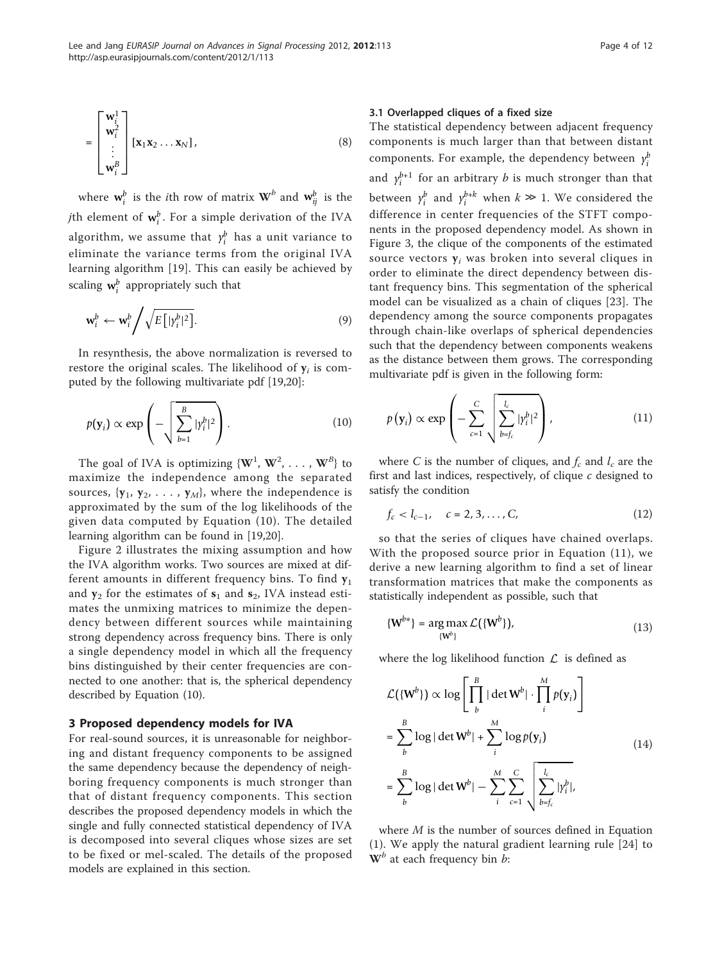$$
= \begin{bmatrix} \mathbf{w}_i^1 \\ \mathbf{w}_i^2 \\ \vdots \\ \mathbf{w}_i^B \end{bmatrix} [\mathbf{x}_1 \mathbf{x}_2 \dots \mathbf{x}_N], \qquad (8)
$$

where  $\mathbf{w}_i^b$  is the *i*th row of matrix  $\mathbf{W}^b$  and  $\mathbf{w}_{ij}^b$  is the *j*th element of  $\mathbf{w}_i^b$ . For a simple derivation of the IVA algorithm, we assume that  $\gamma^b_i$  has a unit variance to eliminate the variance terms from the original IVA learning algorithm [[19](#page-11-0)]. This can easily be achieved by scaling  $\mathbf{w}_i^b$  appropriately such that

$$
\mathbf{w}_i^b \leftarrow \mathbf{w}_i^b / \sqrt{E\left[|\mathbf{y}_i^b|^2\right]}. \tag{9}
$$

In resynthesis, the above normalization is reversed to restore the original scales. The likelihood of  $y_i$  is computed by the following multivariate pdf [\[19,20\]](#page-11-0):

$$
p(\mathbf{y}_i) \propto \exp\left(-\sqrt{\sum_{b=1}^B |y_i^b|^2}\right).
$$
 (10)

The goal of IVA is optimizing  $\{W^1, W^2, \ldots, W^B\}$  to maximize the independence among the separated sources,  $\{y_1, y_2, \ldots, y_M\}$ , where the independence is approximated by the sum of the log likelihoods of the given data computed by Equation (10). The detailed learning algorithm can be found in [\[19,20\]](#page-11-0).

Figure [2](#page-4-0) illustrates the mixing assumption and how the IVA algorithm works. Two sources are mixed at different amounts in different frequency bins. To find  $y_1$ and  $y_2$  for the estimates of  $s_1$  and  $s_2$ , IVA instead estimates the unmixing matrices to minimize the dependency between different sources while maintaining strong dependency across frequency bins. There is only a single dependency model in which all the frequency bins distinguished by their center frequencies are connected to one another: that is, the spherical dependency described by Equation (10).

### 3 Proposed dependency models for IVA

For real-sound sources, it is unreasonable for neighboring and distant frequency components to be assigned the same dependency because the dependency of neighboring frequency components is much stronger than that of distant frequency components. This section describes the proposed dependency models in which the single and fully connected statistical dependency of IVA is decomposed into several cliques whose sizes are set to be fixed or mel-scaled. The details of the proposed models are explained in this section.

### 3.1 Overlapped cliques of a fixed size

The statistical dependency between adjacent frequency components is much larger than that between distant components. For example, the dependency between  $\gamma_i^b$ and  $\gamma_i^{b+1}$  for an arbitrary *b* is much stronger than that between  $y_i^b$  and  $y_i^{b+k}$  when  $k \ge 1$ . We considered the difference in center frequencies of the STFT components in the proposed dependency model. As shown in Figure [3](#page-5-0), the clique of the components of the estimated source vectors  $y_i$  was broken into several cliques in order to eliminate the direct dependency between distant frequency bins. This segmentation of the spherical model can be visualized as a chain of cliques [\[23](#page-11-0)]. The dependency among the source components propagates through chain-like overlaps of spherical dependencies such that the dependency between components weakens as the distance between them grows. The corresponding multivariate pdf is given in the following form:

$$
p(\mathbf{y}_i) \propto \exp\left(-\sum_{c=1}^C \sqrt{\sum_{b=f_c}^{l_c} |y_i^b|^2}\right),\tag{11}
$$

where C is the number of cliques, and  $f_c$  and  $l_c$  are the first and last indices, respectively, of clique  $c$  designed to satisfy the condition

$$
f_c < l_{c-1}, \quad c = 2, 3, \dots, C,\tag{12}
$$

so that the series of cliques have chained overlaps. With the proposed source prior in Equation (11), we derive a new learning algorithm to find a set of linear transformation matrices that make the components as statistically independent as possible, such that

$$
\{W^{b*}\} = \underset{\{W^b\}}{\arg \max} \mathcal{L}(\{W^b\}),\tag{13}
$$

where the log likelihood function  $\mathcal L$  is defined as

$$
\mathcal{L}(\{\mathbf{W}^{b}\}) \propto \log \left[\prod_{b}^{B} |\det \mathbf{W}^{b}| \cdot \prod_{i}^{M} p(\mathbf{y}_{i})\right]
$$
  
=  $\sum_{b}^{B} \log |\det \mathbf{W}^{b}| + \sum_{i}^{M} \log p(\mathbf{y}_{i})$  (14)  
=  $\sum_{b}^{B} \log |\det \mathbf{W}^{b}| - \sum_{i}^{M} \sum_{c=1}^{C} \sqrt{\sum_{b=f_{c}}^{l_{c}} |y_{i}^{b}|},$ 

where  $M$  is the number of sources defined in Equation (1). We apply the natural gradient learning rule [[24\]](#page-11-0) to  $W^b$  at each frequency bin *b*: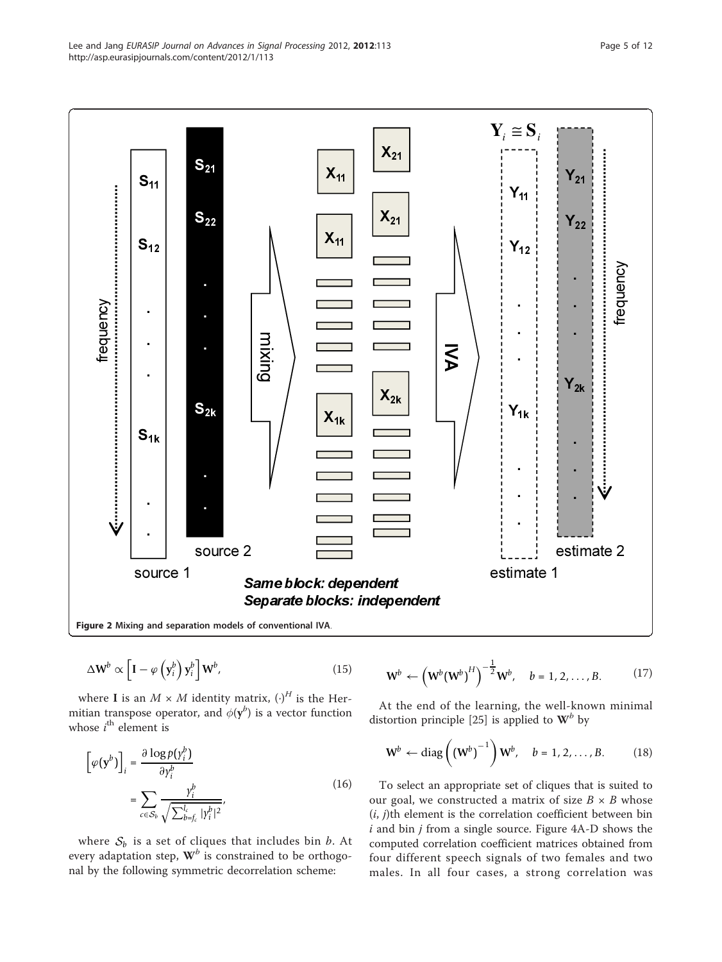<span id="page-4-0"></span>Lee and Jang EURASIP Journal on Advances in Signal Processing 2012, 2012:113 http://asp.eurasipjournals.com/content/2012/1/113



$$
\Delta \mathbf{W}^{b} \propto \left[ \mathbf{I} - \varphi \left( \mathbf{y}_{i}^{b} \right) \mathbf{y}_{i}^{b} \right] \mathbf{W}^{b}, \qquad (15)
$$

where **I** is an  $M \times M$  identity matrix,  $(\cdot)^H$  is the Hermitian transpose operator, and  $\phi(\mathbf{y}^b)$  is a vector function whose  $i^{\text{th}}$  element is

$$
\left[\varphi(\mathbf{y}^b)\right]_i = \frac{\partial \log p(\mathbf{y}_i^b)}{\partial \mathbf{y}_i^b}
$$

$$
= \sum_{c \in S_b} \frac{\mathbf{y}_i^b}{\sqrt{\sum_{b=f_c}^{l_c} |\mathbf{y}_i^b|^2}},\tag{16}
$$

where  $S_b$  is a set of cliques that includes bin b. At every adaptation step,  $\mathbf{W}^{b}$  is constrained to be orthogonal by the following symmetric decorrelation scheme:

$$
\mathbf{W}^{b} \leftarrow (\mathbf{W}^{b} (\mathbf{W}^{b})^{H})^{-\frac{1}{2}} \mathbf{W}^{b}, \quad b = 1, 2, ..., B.
$$
 (17)

At the end of the learning, the well-known minimal distortion principle [[25\]](#page-11-0) is applied to  $\mathbf{W}^b$  by

$$
\mathbf{W}^{b} \leftarrow \text{diag}\left(\left(\mathbf{W}^{b}\right)^{-1}\right)\mathbf{W}^{b}, \quad b = 1, 2, \ldots, B. \quad (18)
$$

To select an appropriate set of cliques that is suited to our goal, we constructed a matrix of size  $B \times B$  whose  $(i, j)$ th element is the correlation coefficient between bin  $i$  and bin  $j$  from a single source. Figure [4A-D](#page-6-0) shows the computed correlation coefficient matrices obtained from four different speech signals of two females and two males. In all four cases, a strong correlation was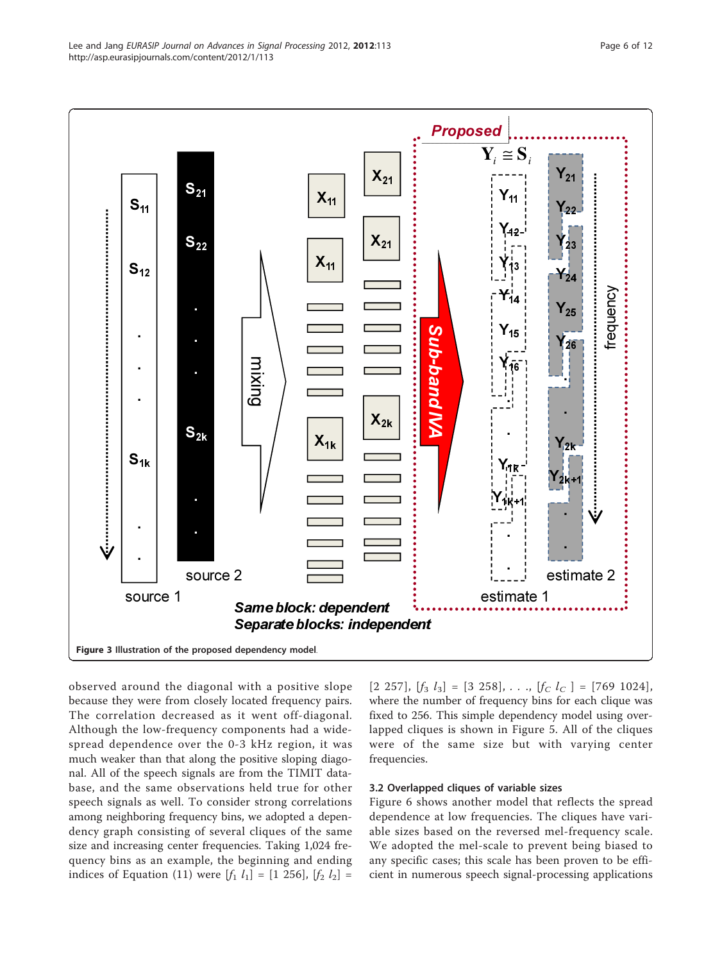<span id="page-5-0"></span>

observed around the diagonal with a positive slope because they were from closely located frequency pairs. The correlation decreased as it went off-diagonal. Although the low-frequency components had a widespread dependence over the 0-3 kHz region, it was much weaker than that along the positive sloping diagonal. All of the speech signals are from the TIMIT database, and the same observations held true for other speech signals as well. To consider strong correlations among neighboring frequency bins, we adopted a dependency graph consisting of several cliques of the same size and increasing center frequencies. Taking 1,024 frequency bins as an example, the beginning and ending indices of Equation (11) were  $[f_1 \, l_1] = [1 \, 256], [f_2 \, l_2] =$ 

 $[2\ 257], [f_3\ l_3] = [3\ 258], \ldots, [f_C\ l_C] = [769\ 1024],$ where the number of frequency bins for each clique was fixed to 256. This simple dependency model using overlapped cliques is shown in Figure [5](#page-7-0). All of the cliques were of the same size but with varying center frequencies.

## 3.2 Overlapped cliques of variable sizes

Figure [6](#page-7-0) shows another model that reflects the spread dependence at low frequencies. The cliques have variable sizes based on the reversed mel-frequency scale. We adopted the mel-scale to prevent being biased to any specific cases; this scale has been proven to be efficient in numerous speech signal-processing applications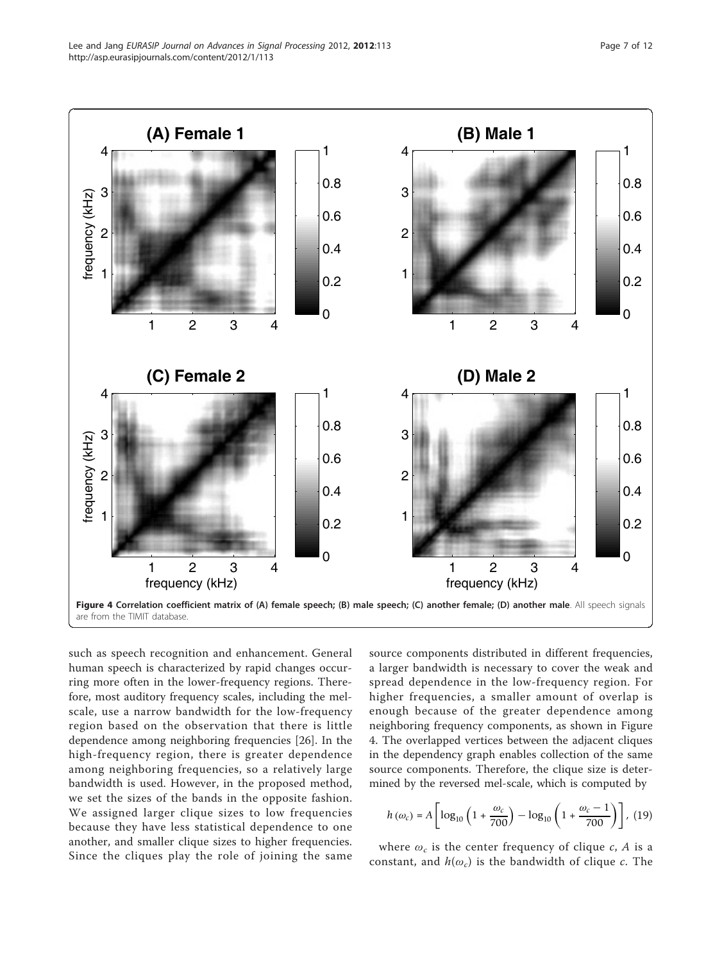<span id="page-6-0"></span>

are from the TIMIT database.

such as speech recognition and enhancement. General human speech is characterized by rapid changes occurring more often in the lower-frequency regions. Therefore, most auditory frequency scales, including the melscale, use a narrow bandwidth for the low-frequency region based on the observation that there is little dependence among neighboring frequencies [[26\]](#page-11-0). In the high-frequency region, there is greater dependence among neighboring frequencies, so a relatively large bandwidth is used. However, in the proposed method, we set the sizes of the bands in the opposite fashion. We assigned larger clique sizes to low frequencies because they have less statistical dependence to one another, and smaller clique sizes to higher frequencies. Since the cliques play the role of joining the same

source components distributed in different frequencies, a larger bandwidth is necessary to cover the weak and spread dependence in the low-frequency region. For higher frequencies, a smaller amount of overlap is enough because of the greater dependence among neighboring frequency components, as shown in Figure 4. The overlapped vertices between the adjacent cliques in the dependency graph enables collection of the same source components. Therefore, the clique size is determined by the reversed mel-scale, which is computed by

$$
h\left(\omega_{c}\right)=A\left[\log_{10}\left(1+\frac{\omega_{c}}{700}\right)-\log_{10}\left(1+\frac{\omega_{c}-1}{700}\right)\right],\text{ (19)}
$$

where  $\omega_c$  is the center frequency of clique c, A is a constant, and  $h(\omega_c)$  is the bandwidth of clique c. The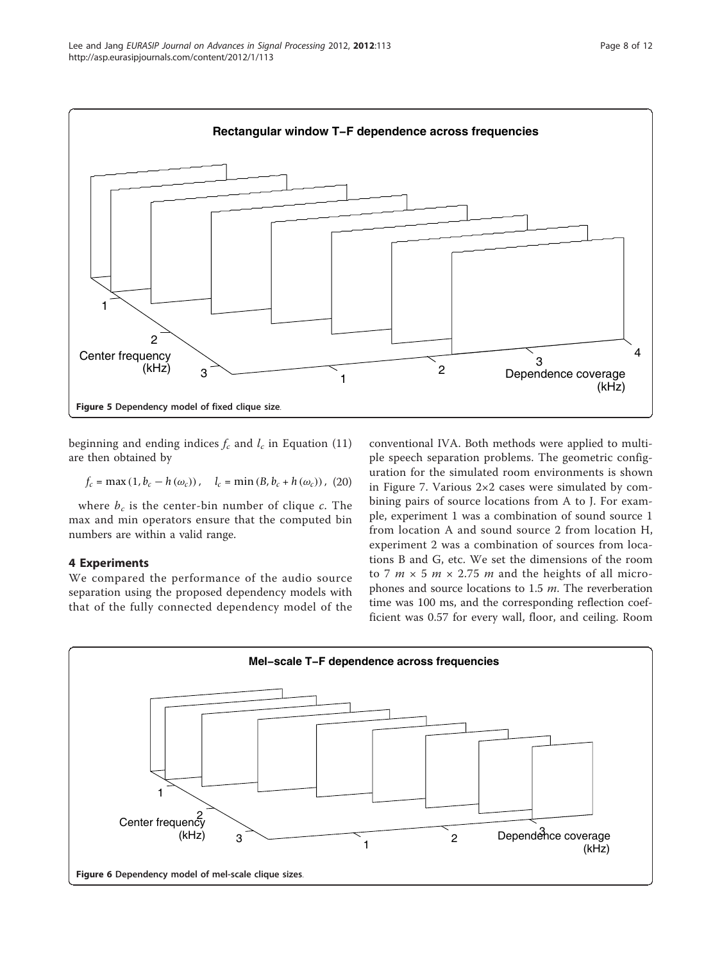<span id="page-7-0"></span>

beginning and ending indices  $f_c$  and  $l_c$  in Equation (11) are then obtained by

$$
f_c = \max\left(1, b_c - h\left(\omega_c\right)\right), \quad l_c = \min\left(B, b_c + h\left(\omega_c\right)\right), \eqno(20)
$$

where  $b_c$  is the center-bin number of clique c. The max and min operators ensure that the computed bin numbers are within a valid range.

# 4 Experiments

We compared the performance of the audio source separation using the proposed dependency models with that of the fully connected dependency model of the

conventional IVA. Both methods were applied to multiple speech separation problems. The geometric configuration for the simulated room environments is shown in Figure [7](#page-8-0). Various 2×2 cases were simulated by combining pairs of source locations from A to J. For example, experiment 1 was a combination of sound source 1 from location A and sound source 2 from location H, experiment 2 was a combination of sources from locations B and G, etc. We set the dimensions of the room to 7  $m \times 5$   $m \times 2.75$  m and the heights of all microphones and source locations to  $1.5$  m. The reverberation time was 100 ms, and the corresponding reflection coefficient was 0.57 for every wall, floor, and ceiling. Room

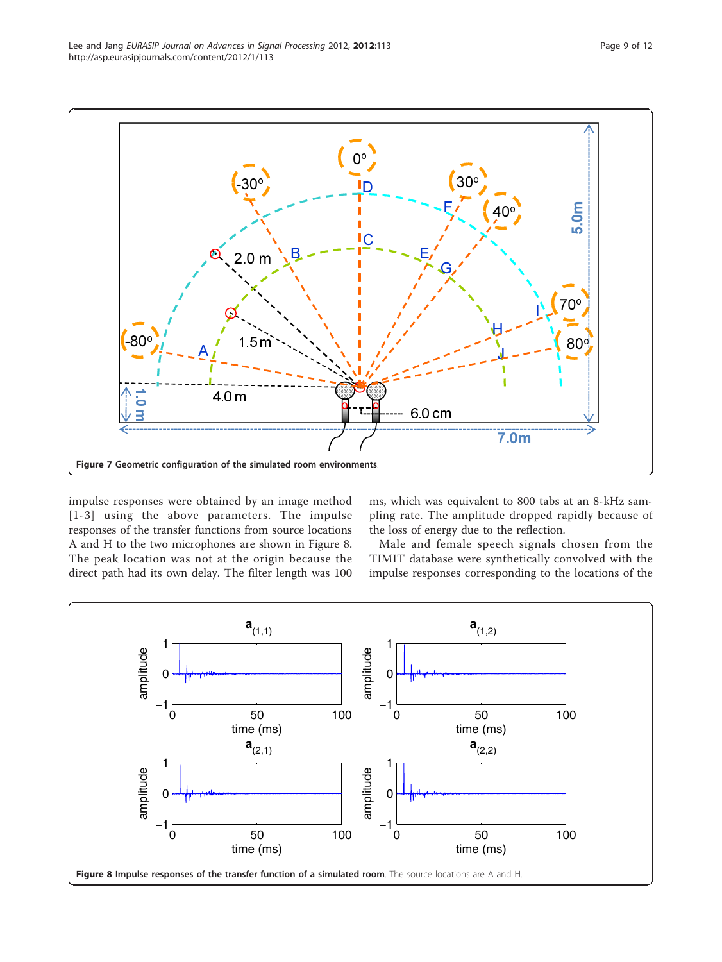<span id="page-8-0"></span>

impulse responses were obtained by an image method [[1-](#page-10-0)[3](#page-11-0)] using the above parameters. The impulse responses of the transfer functions from source locations A and H to the two microphones are shown in Figure 8. The peak location was not at the origin because the direct path had its own delay. The filter length was 100 ms, which was equivalent to 800 tabs at an 8-kHz sampling rate. The amplitude dropped rapidly because of the loss of energy due to the reflection.

Male and female speech signals chosen from the TIMIT database were synthetically convolved with the impulse responses corresponding to the locations of the

![](_page_8_Figure_5.jpeg)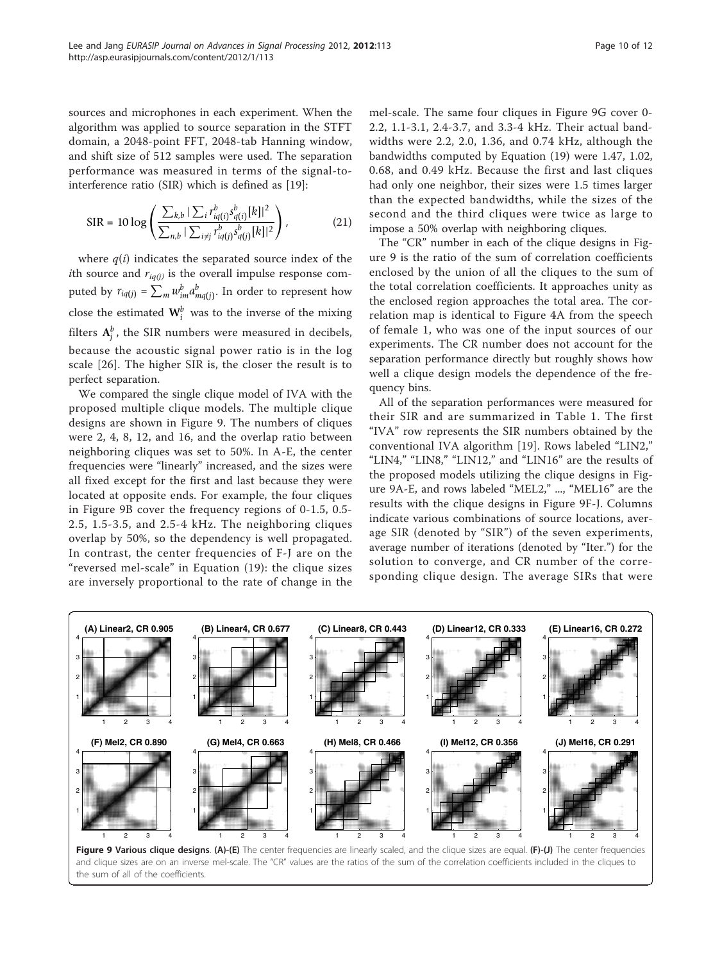<span id="page-9-0"></span>
$$
\text{SIR} = 10 \log \left( \frac{\sum_{k,b} |\sum_{i} r_{iq(i)}^b s_{q(i)}^b[k]|^2}{\sum_{n,b} |\sum_{i \neq j} r_{iq(j)}^b s_{q(j)}^b[k]|^2} \right), \tag{21}
$$

where  $q(i)$  indicates the separated source index of the *i*th source and  $r_{iq(j)}$  is the overall impulse response computed by  $r_{iq(j)} = \sum_{m} w_{im}^{b} a_{mq(j)}^{b}$ . In order to represent how close the estimated  $\mathbf{W}_i^b$  was to the inverse of the mixing filters  $A_j^b$  , the SIR numbers were measured in decibels, because the acoustic signal power ratio is in the log scale [[26\]](#page-11-0). The higher SIR is, the closer the result is to perfect separation.

We compared the single clique model of IVA with the proposed multiple clique models. The multiple clique designs are shown in Figure 9. The numbers of cliques were 2, 4, 8, 12, and 16, and the overlap ratio between neighboring cliques was set to 50%. In A-E, the center frequencies were "linearly" increased, and the sizes were all fixed except for the first and last because they were located at opposite ends. For example, the four cliques in Figure 9B cover the frequency regions of 0-1.5, 0.5- 2.5, 1.5-3.5, and 2.5-4 kHz. The neighboring cliques overlap by 50%, so the dependency is well propagated. In contrast, the center frequencies of F-J are on the "reversed mel-scale" in Equation (19): the clique sizes are inversely proportional to the rate of change in the

mel-scale. The same four cliques in Figure 9G cover 0- 2.2, 1.1-3.1, 2.4-3.7, and 3.3-4 kHz. Their actual bandwidths were 2.2, 2.0, 1.36, and 0.74 kHz, although the bandwidths computed by Equation (19) were 1.47, 1.02, 0.68, and 0.49 kHz. Because the first and last cliques had only one neighbor, their sizes were 1.5 times larger than the expected bandwidths, while the sizes of the second and the third cliques were twice as large to impose a 50% overlap with neighboring cliques.

The "CR" number in each of the clique designs in Figure 9 is the ratio of the sum of correlation coefficients enclosed by the union of all the cliques to the sum of the total correlation coefficients. It approaches unity as the enclosed region approaches the total area. The correlation map is identical to Figure [4A](#page-6-0) from the speech of female 1, who was one of the input sources of our experiments. The CR number does not account for the separation performance directly but roughly shows how well a clique design models the dependence of the frequency bins.

All of the separation performances were measured for their SIR and are summarized in Table [1.](#page-10-0) The first "IVA" row represents the SIR numbers obtained by the conventional IVA algorithm [[19](#page-11-0)]. Rows labeled "LIN2," "LIN4," "LIN8," "LIN12," and "LIN16" are the results of the proposed models utilizing the clique designs in Figure 9A-E, and rows labeled "MEL2," ..., "MEL16" are the results with the clique designs in Figure 9F-J. Columns indicate various combinations of source locations, average SIR (denoted by "SIR") of the seven experiments, average number of iterations (denoted by "Iter.") for the solution to converge, and CR number of the corresponding clique design. The average SIRs that were

![](_page_9_Figure_8.jpeg)

Figure 9 Various clique designs. (A)-(E) The center frequencies are linearly scaled, and the clique sizes are equal. (F)-(J) The center frequencies and clique sizes are on an inverse mel-scale. The "CR" values are the ratios of the sum of the correlation coefficients included in the cliques to the sum of all of the coefficients.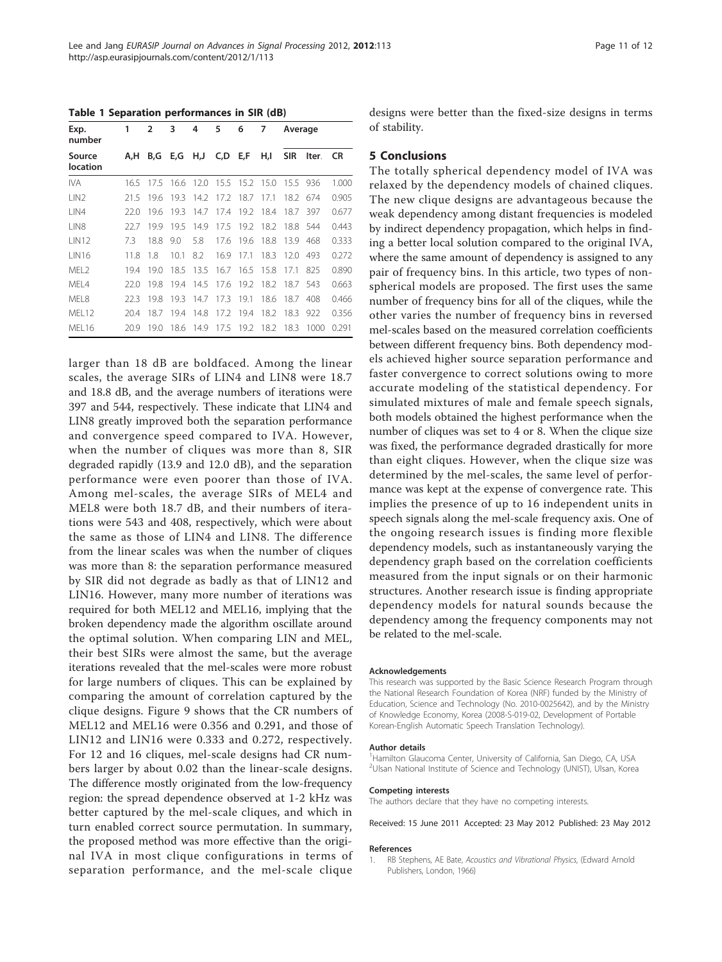<span id="page-10-0"></span>Table 1 Separation performances in SIR (dB)

| Exp.<br>number     | 1    | $\overline{2}$ | 3       | 4    | 5    | 6         | 7    | Average    |       |       |
|--------------------|------|----------------|---------|------|------|-----------|------|------------|-------|-------|
| Source<br>location | A.H  |                | B,G E,G | H,J  | C,D  | E,F       | H,I  | <b>SIR</b> | Iter. | CR.   |
| <b>IVA</b>         | 16.5 | 17.5           | -16.6   | 12.0 |      | 15.5 15.2 | 15.0 | 15.5       | 936   | 1.000 |
| 11N2               | 21.5 | 19.6           | 19.3    | 14.2 | 17.2 | 18.7      | 17.1 | 18.2       | 674   | 0.905 |
| LIN4               | 22.0 | 19.6           | 19.3    | 14.7 | 17.4 | 19.2      | 18.4 | 18.7       | 397   | 0.677 |
| <b>IIN8</b>        | 22.7 | 19.9           | 19.5    | 14.9 | 17.5 | 19.2      | 18.2 | 18.8       | 544   | 0.443 |
| <b>IIN12</b>       | 7.3  | 18.8           | 9.0     | 5.8  | 17.6 | 19.6      | 18.8 | 13.9       | 468   | 0.333 |
| <b>IIN16</b>       | 11.8 | 1.8            | 10.1    | 8.2  | 16.9 | 17.1      | 18.3 | 12.0       | 493   | 0.272 |
| MFI <sub>2</sub>   | 19.4 | 19.0           | 18.5    | 13.5 | 16.7 | 16.5      | 15.8 | 17.1       | 825   | 0.890 |
| MFI4               | 22.0 | 19.8           | 19.4    | 14.5 | 17.6 | 19.2      | 18.2 | 18.7       | 543   | 0.663 |
| MFI <sub>8</sub>   | 22.3 | 19.8           | 19.3    | 14.7 | 17.3 | 19.1      | 18.6 | 18.7       | 408   | 0.466 |
| MEL <sub>12</sub>  | 20.4 | 18.7           | 19.4    | 14.8 | 17.2 | 19.4      | 18.2 | 18.3       | 922   | 0.356 |
| MEL16              | 20.9 | 19.0           | 18.6    | 14.9 |      | 17.5 19.2 | 18.2 | 18.3       | 1000  | 0.291 |

larger than 18 dB are boldfaced. Among the linear scales, the average SIRs of LIN4 and LIN8 were 18.7 and 18.8 dB, and the average numbers of iterations were 397 and 544, respectively. These indicate that LIN4 and LIN8 greatly improved both the separation performance and convergence speed compared to IVA. However, when the number of cliques was more than 8, SIR degraded rapidly (13.9 and 12.0 dB), and the separation performance were even poorer than those of IVA. Among mel-scales, the average SIRs of MEL4 and MEL8 were both 18.7 dB, and their numbers of iterations were 543 and 408, respectively, which were about the same as those of LIN4 and LIN8. The difference from the linear scales was when the number of cliques was more than 8: the separation performance measured by SIR did not degrade as badly as that of LIN12 and LIN16. However, many more number of iterations was required for both MEL12 and MEL16, implying that the broken dependency made the algorithm oscillate around the optimal solution. When comparing LIN and MEL, their best SIRs were almost the same, but the average iterations revealed that the mel-scales were more robust for large numbers of cliques. This can be explained by comparing the amount of correlation captured by the clique designs. Figure [9](#page-9-0) shows that the CR numbers of MEL12 and MEL16 were 0.356 and 0.291, and those of LIN12 and LIN16 were 0.333 and 0.272, respectively. For 12 and 16 cliques, mel-scale designs had CR numbers larger by about 0.02 than the linear-scale designs. The difference mostly originated from the low-frequency region: the spread dependence observed at 1-2 kHz was better captured by the mel-scale cliques, and which in turn enabled correct source permutation. In summary, the proposed method was more effective than the original IVA in most clique configurations in terms of separation performance, and the mel-scale clique

designs were better than the fixed-size designs in terms of stability.

### 5 Conclusions

The totally spherical dependency model of IVA was relaxed by the dependency models of chained cliques. The new clique designs are advantageous because the weak dependency among distant frequencies is modeled by indirect dependency propagation, which helps in finding a better local solution compared to the original IVA, where the same amount of dependency is assigned to any pair of frequency bins. In this article, two types of nonspherical models are proposed. The first uses the same number of frequency bins for all of the cliques, while the other varies the number of frequency bins in reversed mel-scales based on the measured correlation coefficients between different frequency bins. Both dependency models achieved higher source separation performance and faster convergence to correct solutions owing to more accurate modeling of the statistical dependency. For simulated mixtures of male and female speech signals, both models obtained the highest performance when the number of cliques was set to 4 or 8. When the clique size was fixed, the performance degraded drastically for more than eight cliques. However, when the clique size was determined by the mel-scales, the same level of performance was kept at the expense of convergence rate. This implies the presence of up to 16 independent units in speech signals along the mel-scale frequency axis. One of the ongoing research issues is finding more flexible dependency models, such as instantaneously varying the dependency graph based on the correlation coefficients measured from the input signals or on their harmonic structures. Another research issue is finding appropriate dependency models for natural sounds because the dependency among the frequency components may not be related to the mel-scale.

#### Acknowledgements

This research was supported by the Basic Science Research Program through the National Research Foundation of Korea (NRF) funded by the Ministry of Education, Science and Technology (No. 2010-0025642), and by the Ministry of Knowledge Economy, Korea (2008-S-019-02, Development of Portable Korean-English Automatic Speech Translation Technology).

#### Author details

<sup>1</sup> Hamilton Glaucoma Center, University of California, San Diego, CA, USA <sup>2</sup>Ulsan National Institute of Science and Technology (UNIST), Ulsan, Korea

#### Competing interests

The authors declare that they have no competing interests.

Received: 15 June 2011 Accepted: 23 May 2012 Published: 23 May 2012

#### References

1. RB Stephens, AE Bate, Acoustics and Vibrational Physics, (Edward Arnold Publishers, London, 1966)